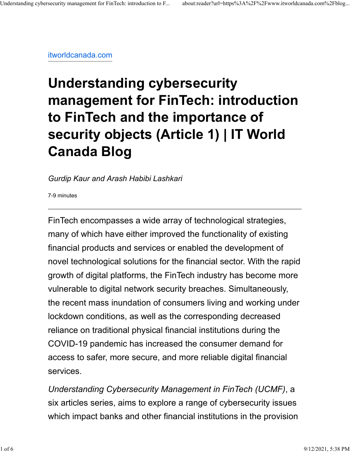[itworldcanada.com](https://www.itworldcanada.com/blog/understanding-cybersecurity-management-for-fintech-introduction-to-fintech-and-the-importance-of-security-objects-article-1/457632)

# **Understanding cybersecurity management for FinTech: introduction to FinTech and the importance of security objects (Article 1) | IT World Canada Blog**

*Gurdip Kaur and Arash Habibi Lashkari*

7-9 minutes

FinTech encompasses a wide array of technological strategies, many of which have either improved the functionality of existing financial products and services or enabled the development of novel technological solutions for the financial sector. With the rapid growth of digital platforms, the FinTech industry has become more vulnerable to digital network security breaches. Simultaneously, the recent mass inundation of consumers living and working under lockdown conditions, as well as the corresponding decreased reliance on traditional physical financial institutions during the COVID-19 pandemic has increased the consumer demand for access to safer, more secure, and more reliable digital financial services.

*Understanding Cybersecurity Management in FinTech (UCMF)*, a six articles series, aims to explore a range of cybersecurity issues which impact banks and other financial institutions in the provision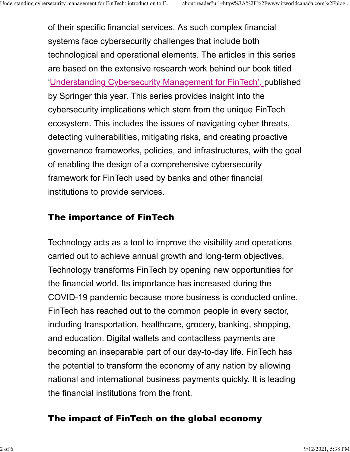of their specific financial services. As such complex financial systems face cybersecurity challenges that include both technological and operational elements. The articles in this series are based on the extensive research work behind our book titled ['Understanding Cybersecurity Management for FinTech', p](https://www.springer.com/gp/book/9783030799144)ublished by Springer this year. This series provides insight into the cybersecurity implications which stem from the unique FinTech ecosystem. This includes the issues of navigating cyber threats, detecting vulnerabilities, mitigating risks, and creating proactive governance frameworks, policies, and infrastructures, with the goal of enabling the design of a comprehensive cybersecurity framework for FinTech used by banks and other financial institutions to provide services.

## The importance of FinTech

Technology acts as a tool to improve the visibility and operations carried out to achieve annual growth and long-term objectives. Technology transforms FinTech by opening new opportunities for the financial world. Its importance has increased during the COVID-19 pandemic because more business is conducted online. FinTech has reached out to the common people in every sector, including transportation, healthcare, grocery, banking, shopping, and education. Digital wallets and contactless payments are becoming an inseparable part of our day-to-day life. FinTech has the potential to transform the economy of any nation by allowing national and international business payments quickly. It is leading the financial institutions from the front.

## The impact of FinTech on the global economy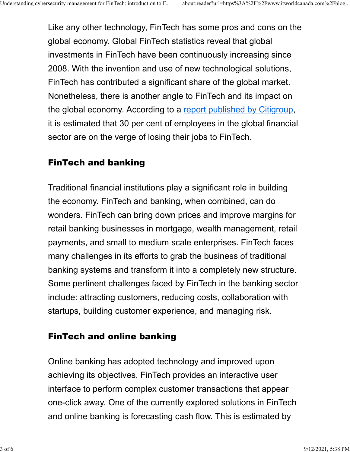Like any other technology, FinTech has some pros and cons on the global economy. Global FinTech statistics reveal that global investments in FinTech have been continuously increasing since 2008. With the invention and use of new technological solutions, FinTech has contributed a significant share of the global market. Nonetheless, there is another angle to FinTech and its impact on the global economy. According to a [report published by Citigroup,](https://money.cnn.com/2016/04/04/investing/bank-jobs-dying-automation-citigroup/) it is estimated that 30 per cent of employees in the global financial sector are on the verge of losing their jobs to FinTech.

### FinTech and banking

Traditional financial institutions play a significant role in building the economy. FinTech and banking, when combined, can do wonders. FinTech can bring down prices and improve margins for retail banking businesses in mortgage, wealth management, retail payments, and small to medium scale enterprises. FinTech faces many challenges in its efforts to grab the business of traditional banking systems and transform it into a completely new structure. Some pertinent challenges faced by FinTech in the banking sector include: attracting customers, reducing costs, collaboration with startups, building customer experience, and managing risk.

## FinTech and online banking

Online banking has adopted technology and improved upon achieving its objectives. FinTech provides an interactive user interface to perform complex customer transactions that appear one-click away. One of the currently explored solutions in FinTech and online banking is forecasting cash flow. This is estimated by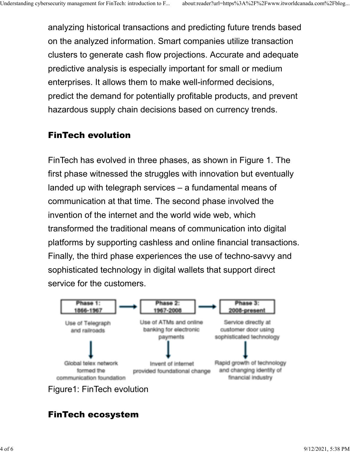analyzing historical transactions and predicting future trends based on the analyzed information. Smart companies utilize transaction clusters to generate cash flow projections. Accurate and adequate predictive analysis is especially important for small or medium enterprises. It allows them to make well-informed decisions, predict the demand for potentially profitable products, and prevent hazardous supply chain decisions based on currency trends.

## FinTech evolution

FinTech has evolved in three phases, as shown in Figure 1. The first phase witnessed the struggles with innovation but eventually landed up with telegraph services – a fundamental means of communication at that time. The second phase involved the invention of the internet and the world wide web, which transformed the traditional means of communication into digital platforms by supporting cashless and online financial transactions. Finally, the third phase experiences the use of techno-savvy and sophisticated technology in digital wallets that support direct service for the customers.



## FinTech ecosystem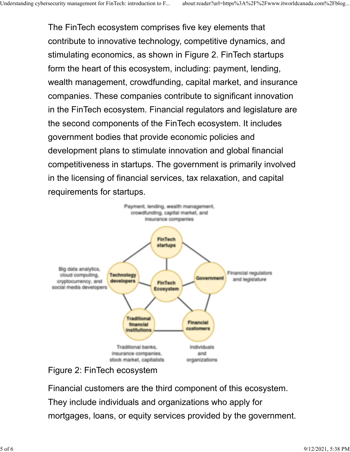The FinTech ecosystem comprises five key elements that contribute to innovative technology, competitive dynamics, and stimulating economics, as shown in Figure 2. FinTech startups form the heart of this ecosystem, including: payment, lending, wealth management, crowdfunding, capital market, and insurance companies. These companies contribute to significant innovation in the FinTech ecosystem. Financial regulators and legislature are the second components of the FinTech ecosystem. It includes government bodies that provide economic policies and development plans to stimulate innovation and global financial competitiveness in startups. The government is primarily involved in the licensing of financial services, tax relaxation, and capital requirements for startups.



Figure 2: FinTech ecosystem

Financial customers are the third component of this ecosystem. They include individuals and organizations who apply for mortgages, loans, or equity services provided by the government.